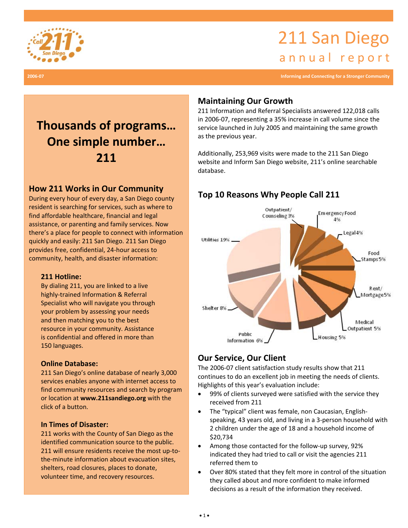

# 211 San Diego annual report

**2006‐07 Informing and Connecting for a Stronger Community**

# **Thousands of programs… One simple number… 211**

# **How 211 Works in Our Community**

**President is searching for services, such as where to** During every hour of every day, a San Diego county find affordable healthcare, financial and legal assistance, or parenting and family services. Now there's a place for people to connect with information quickly and easily: 211 San Diego. 211 San Diego provides free, confidential, 24‐hour access to community, health, and disaster information:

## **211 Hotline:**

By dialing 211, you are linked to a live highly‐trained Information & Referral Specialist who will navigate you through your problem by assessing your needs and then matching you to the best resource in your community. Assistance is confidential and offered in more than 150 languages.

## **Online Database:**

211 San Diego's online database of nearly 3,000 services enables anyone with internet access to find community resources and search by program or location at **www.211sandiego.org** with the click of a button.

## **In Times of Disaster:**

211 works with the County of San Diego as the identified communication source to the public. 211 will ensure residents receive the most up-tothe‐minute information about evacuation sites, shelters, road closures, places to donate, volunteer time, and recovery resources.

# **Maintaining Our Growth**

211 Information and Referral Specialists answered 122,018 calls in 2006‐07, representing a 35% increase in call volume since the service launched in July 2005 and maintaining the same growth as the previous year.

Additionally, 253,969 visits were made to the 211 San Diego website and Inform San Diego website, 211's online searchable database.

# **Top 10 Reasons Why People Call 211**



# **Our Service, Our Client**

The 2006‐07 client satisfaction study results show that 211 continues to do an excellent job in meeting the needs of clients. Highlights of this year's evaluation include:

- 99% of clients surveyed were satisfied with the service they received from 211
- The "typical" client was female, non Caucasian, English‐ speaking, 43 years old, and living in a 3‐person household with 2 children under the age of 18 and a household income of \$20,734
- Among those contacted for the follow‐up survey, 92% indicated they had tried to call or visit the agencies 211 referred them to
- Over 80% stated that they felt more in control of the situation they called about and more confident to make informed decisions as a result of the information they received.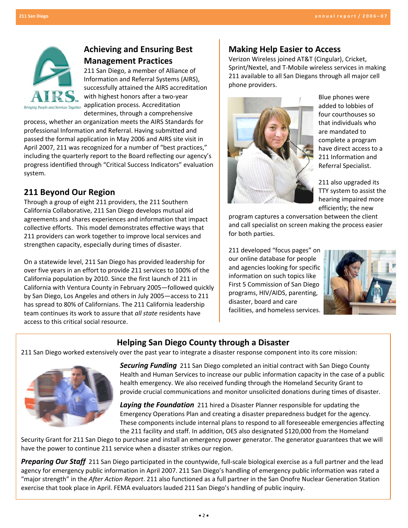

# **Achieving and Ensuring Best Management Practices**

211 San Diego, a member of Alliance of Information and Referral Systems (AIRS), successfully attained the AIRS accreditation with highest honors after a two-year  $\frac{m}{\text{other}}$  application process. Accreditation determines, through a comprehensive

process, whether an organization meets the AIRS Standards for professional Information and Referral. Having submitted and passed the formal application in May 2006 and AIRS site visit in April 2007, 211 was recognized for a number of "best practices," including the quarterly report to the Board reflecting our agency's progress identified through "Critical Success Indicators" evaluation system.

## **211 Beyond Our Region**

Through a group of eight 211 providers, the 211 Southern California Collaborative, 211 San Diego develops mutual aid agreements and shares experiences and information that impact collective efforts. This model demonstrates effective ways that 211 providers can work together to improve local services and strengthen capacity, especially during times of disaster.

On a statewide level, 211 San Diego has provided leadership for over five years in an effort to provide 211 services to 100% of the California population by 2010. Since the first launch of 211 in California with Ventura County in February 2005—followed quickly by San Diego, Los Angeles and others in July 2005—access to 211 has spread to 80% of Californians. The 211 California leadership team continues its work to assure that *all state* residents have access to this critical social resource.

## **Making Help Easier to Access**

Verizon Wireless joined AT&T (Cingular), Cricket, Sprint/Nextel, and T‐Mobile wireless services in making 211 available to all San Diegans through all major cell phone providers.



Blue phones were added to lobbies of four courthouses so that individuals who are mandated to complete a program have direct access to a 211 Information and Referral Specialist.

211 also upgraded its TTY system to assist the hearing impaired more efficiently; the new

program captures a conversation between the client and call specialist on screen making the process easier for both parties.

211 developed "focus pages" on our online database for people and agencies looking for specific information on such topics like First 5 Commission of San Diego programs, HIV/AIDS, parenting, disaster, board and care facilities, and homeless services.



# **Helping San Diego County through a Disaster**

211 San Diego worked extensively over the past year to integrate a disaster response component into its core mission:



*Securing Funding* 211 San Diego completed an initial contract with San Diego County Health and Human Services to increase our public information capacity in the case of a public health emergency. We also received funding through the Homeland Security Grant to provide crucial communications and monitor unsolicited donations during times of disaster.

**Laying the Foundation** 211 hired a Disaster Planner responsible for updating the Emergency Operations Plan and creating a disaster preparedness budget for the agency. These components include internal plans to respond to all foreseeable emergencies affecting the 211 facility and staff. In addition, OES also designated \$120,000 from the Homeland

Security Grant for 211 San Diego to purchase and install an emergency power generator. The generator guarantees that we will have the power to continue 211 service when a disaster strikes our region.

*Preparing Our Staff* 211 San Diego participated in the countywide, full-scale biological exercise as a full partner and the lead agency for emergency public information in April 2007. 211 San Diego's handling of emergency public information was rated a "major strength" in the *After Action Report*. 211 also functioned as a full partner in the San Onofre Nuclear Generation Station exercise that took place in April. FEMA evaluators lauded 211 San Diego's handling of public inquiry.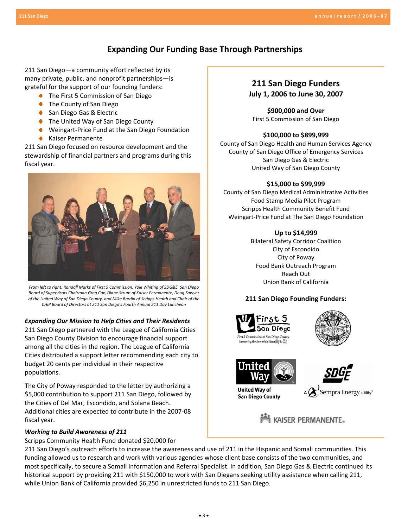## **Expanding Our Funding Base Through Partnerships**

211 San Diego—a community effort reflected by its many private, public, and nonprofit partnerships—is grateful for the support of our founding funders:

- The First 5 Commission of San Diego
- **●** The County of San Diego
- ◆ San Diego Gas & Electric
- The United Way of San Diego County
- Weingart-Price Fund at the San Diego Foundation
- Kaiser Permanente

211 San Diego focused on resource development and the stewardship of financial partners and programs during this fiscal year.



*From left to right: Randall Marks of First 5 Commission, Yole Whiting of SDG&E, San Diego Board of Supervisors Chairman Greg Cox, Diane Strum of Kaiser Permanente, Doug Sawyer of the United Way of San Diego County, and Mike Bardin of Scripps Health and Chair of the CHIP Board of Directors at 211 San Diego's Fourth Annual 211 Day Luncheon*

#### *Expanding Our Mission to Help Cities and Their Residents*

211 San Diego partnered with the League of California Cities San Diego County Division to encourage financial support among all the cities in the region. The League of California Cities distributed a support letter recommending each city to budget 20 cents per individual in their respective populations.

The City of Poway responded to the letter by authorizing a \$5,000 contribution to support 211 San Diego, followed by the Cities of Del Mar, Escondido, and Solana Beach. Additional cities are expected to contribute in the 2007‐08 fiscal year.

## *Working to Build Awareness of 211*

Scripps Community Health Fund donated \$20,000 for

## **211 San Diego Funders July 1, 2006 to June 30, 2007**

**\$900,000 and Over** First 5 Commission of San Diego

#### **\$100,000 to \$899,999**

County of San Diego Health and Human Services Agency County of San Diego Office of Emergency Services San Diego Gas & Electric United Way of San Diego County

#### **\$15,000 to \$99,999**

County of San Diego Medical Administrative Activities Food Stamp Media Pilot Program Scripps Health Community Benefit Fund Weingart‐Price Fund at The San Diego Foundation

### **Up to \$14,999**

Bilateral Safety Corridor Coalition City of Escondido City of Poway Food Bank Outreach Program Reach Out Union Bank of California

## **211 San Diego Founding Funders:**







**United Wav of San Diego County** 





Sempra Energy utility"

**MARK** KAISER PERMANENTE。

211 San Diego's outreach efforts to increase the awareness and use of 211 in the Hispanic and Somali communities. This funding allowed us to research and work with various agencies whose client base consists of the two communities, and most specifically, to secure a Somali Information and Referral Specialist. In addition, San Diego Gas & Electric continued its historical support by providing 211 with \$150,000 to work with San Diegans seeking utility assistance when calling 211, while Union Bank of California provided \$6,250 in unrestricted funds to 211 San Diego.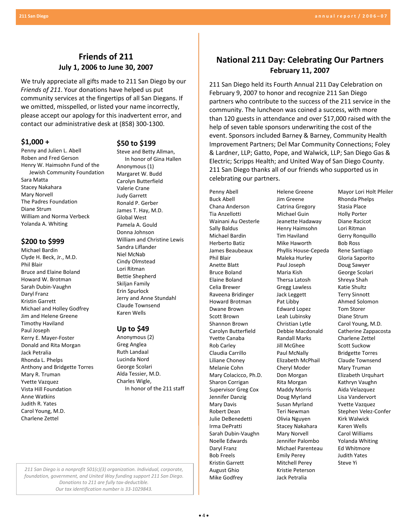# **Friends of 211 July 1, 2006 to June 30, 2007**

We truly appreciate all gifts made to 211 San Diego by our *Friends of 211*. Your donations have helped us put community services at the fingertips of all San Diegans. If we omitted, misspelled, or listed your name incorrectly, please accept our apology for this inadvertent error, and contact our administrative desk at (858) 300‐1300.

## **\$1,000 +**

Penny and Julien L. Abell Roben and Fred Gerson Henry W. Haimsohn Fund of the Jewish Community Foundation Sara Matta Stacey Nakahara Mary Norvell The Padres Foundation Diane Strum William and Norma Verbeck Yolanda A. Whiting

## **\$200 to \$999**

Michael Bardin Clyde H. Beck, Jr., M.D. Phil Blair Bruce and Elaine Boland Howard W. Brotman Sarah Dubin‐Vaughn Daryl Franz Kristin Garrett Michael and Holley Godfrey Jim and Helene Greene Timothy Haviland Paul Joseph Kerry E. Mayer‐Foster Donald and Rita Morgan Jack Petralia Rhonda L. Phelps Anthony and Bridgette Torres Mary R. Truman Yvette Vazquez Vista Hill Foundation Anne Watkins Judith R. Yates Carol Young, M.D. Charlene Zettel

#### **\$50 to \$199**

Steve and Betty Allman, In honor of Gina Hallen Anonymous (1) Margaret W. Budd Carolyn Butterfield Valerie Crane Judy Garrett Ronald P. Gerber James T. Hay, M.D. Global West Pamela A. Gould Donna Johnson William and Christine Lewis Sandra Liflander Niel McNab Cindy Olmstead Lori Ritman Bettie Shepherd Skiljan Family Erin Spurlock Jerry and Anne Stundahl Claude Townsend Karen Wells

#### **Up to \$49**

Anonymous (2) Greg Anglea Ruth Landaal Lucinda Nord George Scolari Alda Tessier, M.D. Charles Wigle, In honor of the 211 staff **National 211 Day: Celebrating Our Partners February 11, 2007**

211 San Diego held its Fourth Annual 211 Day Celebration on February 9, 2007 to honor and recognize 211 San Diego partners who contribute to the success of the 211 service in the community. The luncheon was coined a success, with more than 120 guests in attendance and over \$17,000 raised with the help of seven table sponsors underwriting the cost of the event. Sponsors included Barney & Barney, Community Health Improvement Partners; Del Mar Community Connections; Foley & Lardner, LLP; Gatto, Pope, and Walwick, LLP; San Diego Gas & Electric; Scripps Health; and United Way of San Diego County. 211 San Diego thanks all of our friends who supported us in celebrating our partners.

Penny Abell Buck Abell Chana Anderson Tia Anzellotti Wainani Au Oesterle Sally Baldus Michael Bardin Herberto Batiz James Beaubeaux Phil Blair Anette Blatt Bruce Boland Elaine Boland Celia Brewer Raveena Bridinger Howard Brotman Dwane Brown Scott Brown Shannon Brown Carolyn Butterfield Yvette Canaba Rob Carley Claudia Carrillo Liliane Choney Melanie Cohn Mary Colacicco, Ph.D. Sharon Corrigan Supervisor Greg Cox Jennifer Danzig Mary Davis Robert Dean Julie DeBenedetti Irma DePratti Sarah Dubin‐Vaughn Noelle Edwards Daryl Franz Bob Freels Kristin Garrett August Ghio Mike Godfrey

Helene Greene Jim Greene Catrina Gregory Michael Guin Jeanette Hadaway Henry Haimsohn Tim Haviland Mike Haworth Phyllis House‐Cepeda Maleka Hurley Paul Joseph Maria Kish Thersa Latosh Gregg Lawless Jack Leggett Pat Libby Edward Lopez Leah Lubinsky Christian Lytle Debbie Macdonald Randall Marks Jill McGhee Paul McNally Elizabeth McPhail Cheryl Moder Don Morgan Rita Morgan Maddy Morris Doug Myrland Susan Myrland Teri Newman Olivia Nguyen Stacey Nakahara Mary Norvell Jennifer Palombo Michael Parenteau Emily Perey Mitchell Perey Kristie Peterson Jack Petralia

Mayor Lori Holt Pfeiler Rhonda Phelps Stasia Place Holly Porter Diane Racicot Lori Ritman Gerry Ronquillo Bob Ross Rene Santiago Gloria Saporito Doug Sawyer George Scolari Shreya Shah Katie Shultz Terry Sinnott Ahmed Solomon Tom Storer Diane Strum Carol Young, M.D. Catherine Zappacosta Charlene Zettel Scott Suckow Bridgette Torres Claude Townsend Mary Truman Elizabeth Urquhart Kathryn Vaughn Aida Velazquez Lisa Vandervort Yvette Vazquez Stephen Velez‐Confer Kirk Walwick Karen Wells Carol Williams Yolanda Whiting Ed Whitmore Judith Yates Steve Yi

*211 San Diego is a nonprofit 501(c)(3) organization. Individual, corporate, foundation, government, and United Way funding support 211 San Diego. Donations to 211 are fully tax‐deductible. Our tax identification number is 33‐1029843.*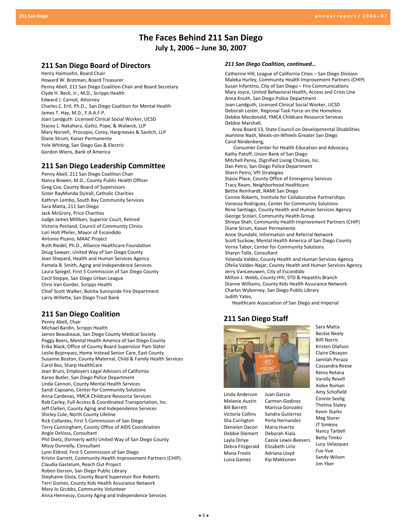## **The Faces Behind 211 San Diego July 1, 2006 – June 30, 2007**

#### **211 San Diego Board of Directors**

Henry Haimsohn, Board Chair Howard W. Brotman, Board Treasurer Penny Abell, 211 San Diego Coalition Chair and Board Secretary Clyde H. Beck, Jr., M.D., Scripps Health Edward J. Carnot, Attorney Charles C. Ertl, Ph.D., San Diego Coalition for Mental Health James T. Hay, M.D., F.A.A.F.P. Joan Landguth Licensed Clinical Social Worker, UCSD Stacey L. Nakahara, Gatto, Pope, & Walwick, LLP Mary Norvell, Procopio, Corey, Hargreaves & Savitch, LLP Diane Strum, Kaiser Permanente Yole Whiting, San Diego Gas & Electric Gordon Wiens, Bank of America

## **211 San Diego Leadership Committee**

Penny Abell, 211 San Diego Coalition Chair Nancy Bowen, M.D., County Public Health Officer Greg Cox, County Board of Supervisors Sister RayMonda DuVall, Catholic Charities Kathryn Lembo, South Bay Community Services Sara Matta, 211 San Diego Jack McGrory, Price Charities Judge James Milliken, Superior Court, Retired Victoria Penland, Council of Community Clinics Lori Holt Pfeiler, Mayor of Escondido Antonio Pizano, MAAC Project Ruth Riedel, Ph.D., Alliance Healthcare Foundation Doug Sawyer, United Way of San Diego County Jean Shepard, Health and Human Services Agency Pamela B. Smith, Aging and Independence Services Laura Spiegel, First 5 Commission of San Diego County Cecil Steppe, San Diego Urban League Chris Van Gorder, Scripps Health Chief Scott Walker, Bonita‐Sunnyside Fire Department Larry Willette, San Diego Trust Bank

## **211 San Diego Coalition**

Penny Abell, Chair Michael Bardin, Scripps Health James Beaubeaux, San Diego County Medical Society Peggy Beers, Mental Health America of San Diego County Erika Black, Office of County Board Supervisor Pam Slater Leslie Bojorquez, Home Instead Senior Care, East County Susanne Boston, County Maternal, Child & Family Health Services Carol Bos, Sharp HealthCare Jean Bruni, Employers Legal Advisors of California Karen Butler, San Diego Police Department Linda Cannon, County Mental Health Services Sandi Capuano, Center for Community Solutions Anna Cardenas, YMCA Childcare Resource Services Rob Carley, Full Access & Coordinated Transportation, Inc. Jeff Clellen, County Aging and Independence Services Shirley Cole, North County Lifeline Rick Collantes, First 5 Commission of San Diego Terry Cunningham, County Office of AIDS Coordination Angie DeVoss, Consultant Phil Dietz, (formerly with) United Way of San Diego County Missy Donnelly, Consultant Lynn Eldred, First 5 Commission of San Diego Kristin Garrett, Community Health Improvement Partners (CHIP) Claudia Gastelum, Reach Out Project Roben Gerson, San Diego Public Library Stephanie Gioia, County Board Supervisor Ron Roberts Terri Gomez, County Kids Health Assurance Network Mary Jo Grubbs, Community Volunteer Anna Hennessy, County Aging and Independence Services

#### *211 San Diego Coalition, continued…*

Catherine Hill, League of California Cities – San Diego Division Maleka Hurley, Community Health Improvement Partners (CHIP) Susan Infantino, City of San Diego – Fire Communications Mary Joyce, United Behavioral Health, Access and Crisis Line Anna Knuth, San Diego Police Department Joan Landguth, Licensed Clinical Social Worker, UCSD Deborah Lester, Regional Task Force on the Homeless Debbie Macdonald, YMCA Childcare Resource Services Debbie Marshall, Area Board 13, State Council on Developmental Disabilities Jeannine Nash, Meals‐on‐Wheels Greater San Diego Carol Neidenberg, Consumer Center for Health Education and Advocacy Kathy Patoff, Union Bank of San Diego Mitchell Perey, Dignified Living Choices, Inc. Dan Petro, San Diego Police Department Sherri Petro, VPI Strategies Stasia Place, County Office of Emergency Services Tracy Ream, Neighborhood Healthcare Bettie Reinhardt, NAMI San Diego Connie Roberts, Institute for Collaborative Partnerships Vanessa Rodriguez, Center for Community Solutions Rene Santiago, County Health and Human Services Agency George Scolari, Community Health Group Shreya Shah, Community Health Improvement Partners (CHIP) Diane Strum, Kaiser Permanente Anne Stundahl, Information and Referral Network Scott Suckow, Mental Health America of San Diego County Verna Tabor, Center for Community Solutions Sharyn Tolle, Consultant Yolanda Valdez, County Health and Human Services Agency Ofelia Valdez‐Najar, County Health and Human Services Agency Jerry VanLeeuwen, City of Escondido Milton J. Webb, County HIV, STD & Hepatitis Branch Dianne Williams, County Kids Health Assurance Network Charles Wyborney, San Diego Public Library Judith Yates,

Healthcare Association of San Diego and Imperial

## **211 San Diego Staff**



Linda Anderson Melanie Austin Bill Barrett Victoria Collins Sha Curington Danielyn Dacon Debbie Diemert Layla Diriye Debra Fitzgerald Mona Freels Luisa Gamez

Juan Garcia Carmen Godinez Marissa Gonzalez Sandra Gutierrez Perla Hernandez Maria Huerta Deborah Kiala Cassie Lewis‐Beevers Elizabeth Lirio Adriana Lloyd Kip Makkonen

Sara Matta Beckie Neely Billl Norris Kristen Olafson Claire Oksayan Jamilah Peraza Cassandra Reese Reina Retana Varelly Revell Aidee Roman Amy Schofield Connie Seelig Thelma Staley Kevin Starks Meg Storer JT Simkins Nancy Tarbell Betty Timko Lucy Velazquez Fue Vue Sandy Wilson Jim Yber